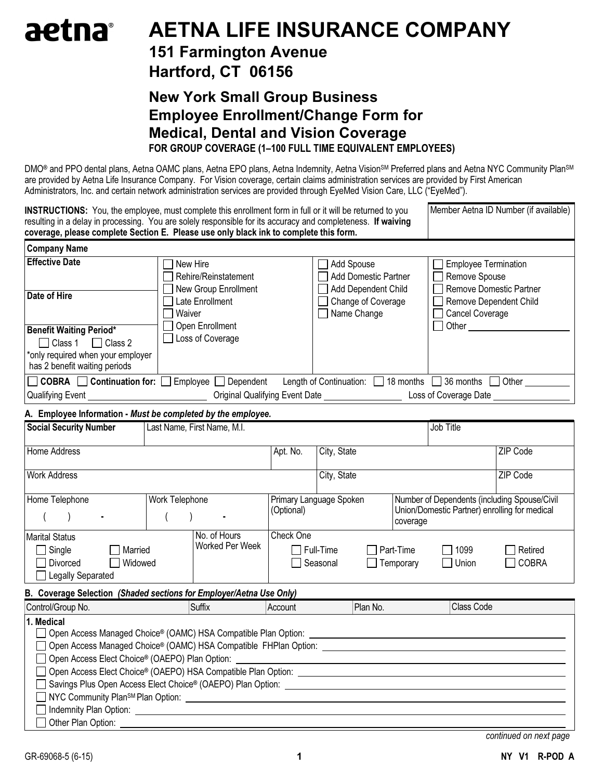## aetna® AETNA LIFE INSURANCE COMPANY

## 151 Farmington Avenue

## Hartford, CT 06156

### New York Small Group Business Employee Enrollment/Change Form for Medical, Dental and Vision Coverage FOR GROUP COVERAGE (1–100 FULL TIME EQUIVALENT EMPLOYEES)

DMO<sup>®</sup> and PPO dental plans, Aetna OAMC plans, Aetna EPO plans, Aetna Indemnity, Aetna Vision<sup>sM</sup> Preferred plans and Aetna NYC Community Plan<sup>sM</sup> are provided by Aetna Life Insurance Company. For Vision coverage, certain claims administration services are provided by First American Administrators, Inc. and certain network administration services are provided through EyeMed Vision Care, LLC ("EyeMed").

| <b>INSTRUCTIONS:</b> You, the employee, must complete this enrollment form in full or it will be returned to you<br>resulting in a delay in processing. You are solely responsible for its accuracy and completeness. If waiving<br>coverage, please complete Section E. Please use only black ink to complete this form. |                                                                                                                                        |                               |                                                                        |                        |                                                    | Member Aetna ID Number (if available)        |
|---------------------------------------------------------------------------------------------------------------------------------------------------------------------------------------------------------------------------------------------------------------------------------------------------------------------------|----------------------------------------------------------------------------------------------------------------------------------------|-------------------------------|------------------------------------------------------------------------|------------------------|----------------------------------------------------|----------------------------------------------|
| <b>Company Name</b>                                                                                                                                                                                                                                                                                                       |                                                                                                                                        |                               |                                                                        |                        |                                                    |                                              |
| <b>Effective Date</b>                                                                                                                                                                                                                                                                                                     | New Hire<br>Rehire/Reinstatement<br>New Group Enrollment                                                                               |                               | Add Spouse<br><b>Add Domestic Partner</b><br>Add Dependent Child       |                        | <b>Employee Termination</b><br>Remove Spouse       | <b>Remove Domestic Partner</b>               |
| Date of Hire                                                                                                                                                                                                                                                                                                              | Late Enrollment<br>Waiver                                                                                                              |                               | Change of Coverage<br>$\Box$ Name Change                               |                        | <b>Remove Dependent Child</b><br>□ Cancel Coverage |                                              |
| <b>Benefit Waiting Period*</b><br>$\Box$ Class 1<br>$\Box$ Class 2<br>*only required when your employer<br>has 2 benefit waiting periods                                                                                                                                                                                  | Open Enrollment<br>Loss of Coverage                                                                                                    |                               |                                                                        |                        | □ Other _________                                  |                                              |
|                                                                                                                                                                                                                                                                                                                           | $\Box$ COBRA $\Box$ Continuation for: $\Box$ Employee $\Box$ Dependent                                                                 |                               | Length of Continuation: $\Box$ 18 months $\Box$ 36 months $\Box$ Other |                        | Loss of Coverage Date <b>Last Coverage Date</b>    |                                              |
|                                                                                                                                                                                                                                                                                                                           |                                                                                                                                        |                               |                                                                        |                        |                                                    |                                              |
| A. Employee Information - Must be completed by the employee.                                                                                                                                                                                                                                                              |                                                                                                                                        |                               |                                                                        |                        |                                                    |                                              |
| <b>Social Security Number</b>                                                                                                                                                                                                                                                                                             | Last Name, First Name, M.I.                                                                                                            |                               |                                                                        |                        | Job Title                                          |                                              |
| Home Address                                                                                                                                                                                                                                                                                                              |                                                                                                                                        | Apt. No.                      | City, State                                                            |                        |                                                    | ZIP Code                                     |
| <b>Work Address</b>                                                                                                                                                                                                                                                                                                       |                                                                                                                                        |                               | City, State                                                            |                        |                                                    | ZIP Code                                     |
| Home Telephone                                                                                                                                                                                                                                                                                                            | Work Telephone                                                                                                                         | (Optional)                    | Primary Language Spoken                                                | coverage               | Union/Domestic Partner) enrolling for medical      | Number of Dependents (including Spouse/Civil |
| <b>Marital Status</b><br>$\Box$ Single<br>Married<br><b>Divorced</b><br>Widowed<br>□ Legally Separated                                                                                                                                                                                                                    | No. of Hours<br>Worked Per Week                                                                                                        | Check One<br>$\Box$ Full-Time | Seasonal                                                               | Part-Time<br>Temporary | 1099<br>Union                                      | Retired<br><b>COBRA</b>                      |
| B. Coverage Selection (Shaded sections for Employer/Aetna Use Only)                                                                                                                                                                                                                                                       |                                                                                                                                        |                               |                                                                        |                        |                                                    |                                              |
| Control/Group No.                                                                                                                                                                                                                                                                                                         | Suffix                                                                                                                                 | Account                       | Plan No.                                                               |                        | Class Code                                         |                                              |
| 1. Medical<br>Open Access Elect Choice® (OAEPO) Plan Option:                                                                                                                                                                                                                                                              | □ Open Access Managed Choice® (OAMC) HSA Compatible Plan Option:<br>Indemnity Plan Option: <u>International Community Plan Option:</u> |                               |                                                                        |                        |                                                    |                                              |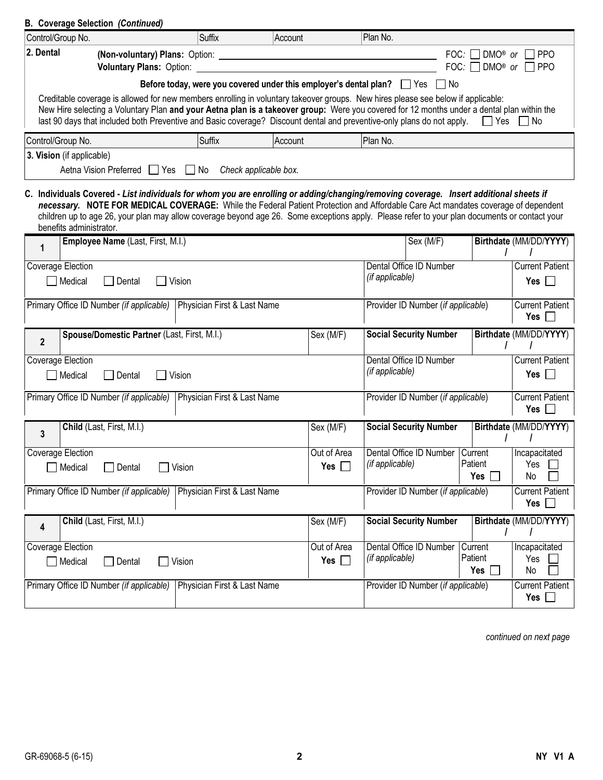| <b>B. Coverage Selection (Continued)</b>                                                                                                                                                                                                                                                                                                                                                                               |                                                                                                                                                                                                                                                                                                                                                                                                                              |                                                                          |                               |                                    |                                |                                               |
|------------------------------------------------------------------------------------------------------------------------------------------------------------------------------------------------------------------------------------------------------------------------------------------------------------------------------------------------------------------------------------------------------------------------|------------------------------------------------------------------------------------------------------------------------------------------------------------------------------------------------------------------------------------------------------------------------------------------------------------------------------------------------------------------------------------------------------------------------------|--------------------------------------------------------------------------|-------------------------------|------------------------------------|--------------------------------|-----------------------------------------------|
| Control/Group No.                                                                                                                                                                                                                                                                                                                                                                                                      | <b>Suffix</b>                                                                                                                                                                                                                                                                                                                                                                                                                | Account                                                                  | Plan No.                      |                                    |                                |                                               |
| 2. Dental<br>(Non-voluntary) Plans: Option:<br>Voluntary Plans: Option:                                                                                                                                                                                                                                                                                                                                                |                                                                                                                                                                                                                                                                                                                                                                                                                              |                                                                          |                               | FOC:<br>FOC:                       | DMO® or<br>DMO <sup>®</sup> or | <b>PPO</b><br>T PPO                           |
|                                                                                                                                                                                                                                                                                                                                                                                                                        |                                                                                                                                                                                                                                                                                                                                                                                                                              | Before today, were you covered under this employer's dental plan? Yes No |                               |                                    |                                |                                               |
| Creditable coverage is allowed for new members enrolling in voluntary takeover groups. New hires please see below if applicable:<br>New Hire selecting a Voluntary Plan and your Aetna plan is a takeover group: Were you covered for 12 months under a dental plan within the<br>last 90 days that included both Preventive and Basic coverage? Discount dental and preventive-only plans do not apply.<br>□ Yes □ No |                                                                                                                                                                                                                                                                                                                                                                                                                              |                                                                          |                               |                                    |                                |                                               |
| Control/Group No.                                                                                                                                                                                                                                                                                                                                                                                                      | <b>Suffix</b>                                                                                                                                                                                                                                                                                                                                                                                                                | Account                                                                  | Plan No.                      |                                    |                                |                                               |
| 3. Vision (if applicable)<br>Aetna Vision Preferred Yes No                                                                                                                                                                                                                                                                                                                                                             |                                                                                                                                                                                                                                                                                                                                                                                                                              | Check applicable box.                                                    |                               |                                    |                                |                                               |
| benefits administrator.                                                                                                                                                                                                                                                                                                                                                                                                | C. Individuals Covered - List individuals for whom you are enrolling or adding/changing/removing coverage. Insert additional sheets if<br>necessary. NOTE FOR MEDICAL COVERAGE: While the Federal Patient Protection and Affordable Care Act mandates coverage of dependent<br>children up to age 26, your plan may allow coverage beyond age 26. Some exceptions apply. Please refer to your plan documents or contact your |                                                                          |                               |                                    |                                |                                               |
| Employee Name (Last, First, M.I.)<br>1                                                                                                                                                                                                                                                                                                                                                                                 |                                                                                                                                                                                                                                                                                                                                                                                                                              |                                                                          |                               | Sex (M/F)                          |                                | Birthdate (MM/DD/YYYY)                        |
| Coverage Election<br>Medical<br>Dental                                                                                                                                                                                                                                                                                                                                                                                 | Dental Office ID Number<br>(if applicable)<br>Vision<br>$Yes$   $\blacksquare$                                                                                                                                                                                                                                                                                                                                               |                                                                          |                               |                                    |                                | <b>Current Patient</b>                        |
| Primary Office ID Number (if applicable)                                                                                                                                                                                                                                                                                                                                                                               | Physician First & Last Name                                                                                                                                                                                                                                                                                                                                                                                                  |                                                                          |                               | Provider ID Number (if applicable) |                                | <b>Current Patient</b><br>Yes                 |
| Spouse/Domestic Partner (Last, First, M.I.)<br>$\overline{2}$                                                                                                                                                                                                                                                                                                                                                          |                                                                                                                                                                                                                                                                                                                                                                                                                              | Sex (M/F)                                                                |                               | <b>Social Security Number</b>      |                                | Birthdate (MM/DD/YYYY)                        |
| Coverage Election<br>Medical<br>Dental                                                                                                                                                                                                                                                                                                                                                                                 | Vision                                                                                                                                                                                                                                                                                                                                                                                                                       |                                                                          | (if applicable)               | Dental Office ID Number            |                                | <b>Current Patient</b><br>Yes $\vert \ \vert$ |
| Primary Office ID Number (if applicable)<br>Physician First & Last Name<br>Provider ID Number (if applicable)                                                                                                                                                                                                                                                                                                          |                                                                                                                                                                                                                                                                                                                                                                                                                              |                                                                          |                               | <b>Current Patient</b><br>Yes      |                                |                                               |
| Child (Last, First, M.I.)<br>3                                                                                                                                                                                                                                                                                                                                                                                         |                                                                                                                                                                                                                                                                                                                                                                                                                              | Sex (M/F)                                                                |                               | <b>Social Security Number</b>      |                                | Birthdate (MM/DD/YYYY)                        |
| <b>Coverage Election</b><br>Medical<br>Dental                                                                                                                                                                                                                                                                                                                                                                          | Vision                                                                                                                                                                                                                                                                                                                                                                                                                       | Out of Area<br>Yes $\Box$                                                | (if applicable)               | Dental Office ID Number Current    | Patient<br>Yes                 | Incapacitated<br>Yes<br>No                    |
| Primary Office ID Number (if applicable)                                                                                                                                                                                                                                                                                                                                                                               | Physician First & Last Name                                                                                                                                                                                                                                                                                                                                                                                                  |                                                                          |                               | Provider ID Number (if applicable) |                                | <b>Current Patient</b><br>Yes $\Box$          |
| Child (Last, First, M.I.)<br>4                                                                                                                                                                                                                                                                                                                                                                                         |                                                                                                                                                                                                                                                                                                                                                                                                                              | Sex (M/F)                                                                |                               | <b>Social Security Number</b>      |                                | Birthdate (MM/DD/YYYY)                        |
| Coverage Election<br>$\Box$ Medical<br>Dental                                                                                                                                                                                                                                                                                                                                                                          | Vision                                                                                                                                                                                                                                                                                                                                                                                                                       | Out of Area                                                              | (if applicable)<br>Yes $\Box$ | Dental Office ID Number            | Current<br>Patient<br>Yes      | Incapacitated<br>Yes<br>No                    |
| Primary Office ID Number (if applicable)                                                                                                                                                                                                                                                                                                                                                                               | Physician First & Last Name                                                                                                                                                                                                                                                                                                                                                                                                  |                                                                          |                               | Provider ID Number (if applicable) |                                | <b>Current Patient</b><br>Yes $\Box$          |

continued on next page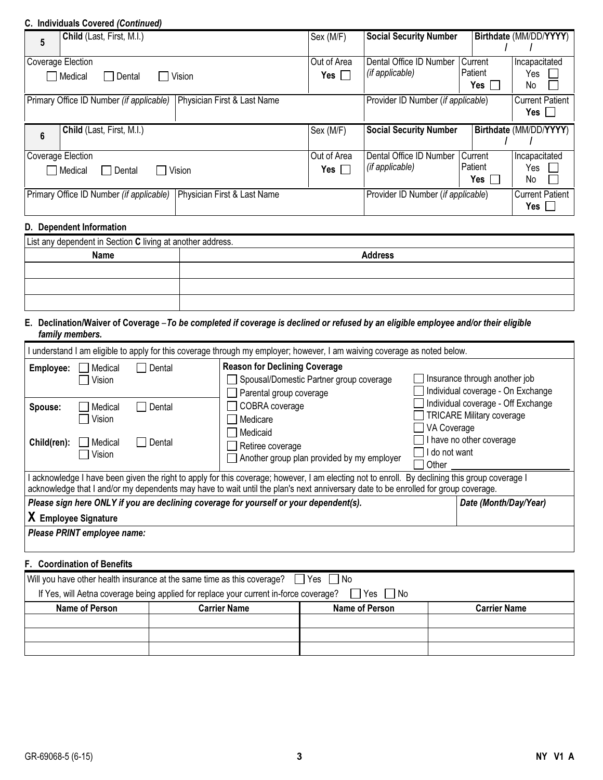#### C. Individuals Covered (Continued)

| 5                                                                       | Child (Last, First, M.I.)                                               | Sex (M/F)           | <b>Social Security Number</b>      |            | Birthdate (MM/DD/YYYY) |  |
|-------------------------------------------------------------------------|-------------------------------------------------------------------------|---------------------|------------------------------------|------------|------------------------|--|
|                                                                         |                                                                         |                     |                                    |            |                        |  |
|                                                                         | Coverage Election                                                       | Out of Area         | Dental Office ID Number            | Current    | Incapacitated          |  |
|                                                                         | Medical<br>Vision<br>Dental                                             | Yes $\Box$          | (if applicable)                    | l Patient  | Yes                    |  |
|                                                                         |                                                                         |                     |                                    | Yes $\Box$ | No.                    |  |
| Physician First & Last Name<br>Primary Office ID Number (if applicable) |                                                                         |                     | Provider ID Number (if applicable) |            | <b>Current Patient</b> |  |
|                                                                         |                                                                         |                     |                                    |            | Yes                    |  |
| $6\phantom{1}$                                                          | Child (Last, First, M.I.)                                               | Sex (M/F)           | <b>Social Security Number</b>      |            | Birthdate (MM/DD/YYYY) |  |
|                                                                         |                                                                         |                     |                                    |            |                        |  |
|                                                                         | Coverage Election                                                       | Out of Area         | Dental Office ID Number   Current  |            | Incapacitated          |  |
| Medical<br>Vision<br>  Dental                                           |                                                                         | Yes $\vert \ \vert$ | (if applicable)                    | Patient    | Yes                    |  |
|                                                                         |                                                                         |                     |                                    | Yes l      | No                     |  |
|                                                                         | Physician First & Last Name<br>Primary Office ID Number (if applicable) |                     | Provider ID Number (if applicable) |            | <b>Current Patient</b> |  |
|                                                                         |                                                                         |                     |                                    |            | Yes I                  |  |
| D. Dependent Information                                                |                                                                         |                     |                                    |            |                        |  |

| List any dependent in Section C living at another address. |                |  |  |  |  |
|------------------------------------------------------------|----------------|--|--|--|--|
| <b>Name</b>                                                | <b>Address</b> |  |  |  |  |
|                                                            |                |  |  |  |  |
|                                                            |                |  |  |  |  |
|                                                            |                |  |  |  |  |

#### E. Declination/Waiver of Coverage – To be completed if coverage is declined or refused by an eligible employee and/or their eligible family members.

| understand I am eligible to apply for this coverage through my employer; however, I am waiving coverage as noted below.                                                                                                                                                            |                                        |                  |                                                                                                            |                                       |                                                                                                    |  |
|------------------------------------------------------------------------------------------------------------------------------------------------------------------------------------------------------------------------------------------------------------------------------------|----------------------------------------|------------------|------------------------------------------------------------------------------------------------------------|---------------------------------------|----------------------------------------------------------------------------------------------------|--|
| Employee:                                                                                                                                                                                                                                                                          | Medical<br>Vision                      | Dental           | <b>Reason for Declining Coverage</b><br>Spousal/Domestic Partner group coverage<br>Parental group coverage |                                       | Insurance through another job<br>Individual coverage - On Exchange                                 |  |
| Spouse:<br>Child(ren):                                                                                                                                                                                                                                                             | Medical<br>Vision<br>Medical<br>Vision | Dental<br>Dental | COBRA coverage<br>Medicare<br>Medicaid<br>Retiree coverage<br>Another group plan provided by my employer   | VA Coverage<br>I do not want<br>Other | Individual coverage - Off Exchange<br><b>TRICARE Military coverage</b><br>I have no other coverage |  |
| acknowledge I have been given the right to apply for this coverage; however, I am electing not to enroll. By declining this group coverage I<br>acknowledge that I and/or my dependents may have to wait until the plan's next anniversary date to be enrolled for group coverage. |                                        |                  |                                                                                                            |                                       |                                                                                                    |  |
| Please sign here ONLY if you are declining coverage for yourself or your dependent(s).<br>Date (Month/Day/Year)<br>X Employee Signature<br>Please PRINT employee name:                                                                                                             |                                        |                  |                                                                                                            |                                       |                                                                                                    |  |
| <b>F.</b> Coordination of Benefits                                                                                                                                                                                                                                                 |                                        |                  |                                                                                                            |                                       |                                                                                                    |  |

# Will you have other health insurance at the same time as this coverage?  $\Box$  Yes  $\Box$  No If Yes, will Aetna coverage being applied for replace your current in-force coverage?  $\Box$  Yes  $\Box$  No Name of Person Carrier Name Name Name Name of Person Carrier Name